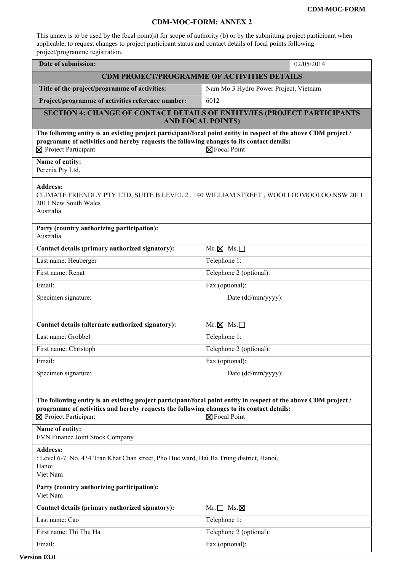## **CDM-MOC-FORM: ANNEX 2**

This annex is to be used by the focal point(s) for scope of authority (b) or by the submitting project participant when applicable, to request changes to project participant status and contact details of focal points following project/programme registration.

| Date of submission:                                                                                                                                                                                                                                            | 02/05/2014                            |  |
|----------------------------------------------------------------------------------------------------------------------------------------------------------------------------------------------------------------------------------------------------------------|---------------------------------------|--|
| <b>CDM PROJECT/PROGRAMME OF ACTIVITIES DETAILS</b>                                                                                                                                                                                                             |                                       |  |
| Title of the project/programme of activities:                                                                                                                                                                                                                  | Nam Mo 3 Hydro Power Project, Vietnam |  |
| Project/programme of activities reference number:                                                                                                                                                                                                              | 6012                                  |  |
| <b>SECTION 4: CHANGE OF CONTACT DETAILS OF ENTITY/IES (PROJECT PARTICIPANTS</b><br><b>AND FOCAL POINTS)</b>                                                                                                                                                    |                                       |  |
| The following entity is an existing project participant/focal point entity in respect of the above CDM project /<br>programme of activities and hereby requests the following changes to its contact details:<br>⊠ Project Participant<br><b>⊠</b> Focal Point |                                       |  |
| Name of entity:<br>Perenia Pty Ltd.                                                                                                                                                                                                                            |                                       |  |
| <b>Address:</b><br>CLIMATE FRIENDLY PTY LTD, SUITE B LEVEL 2, 140 WILLIAM STREET, WOOLLOOMOOLOO NSW 2011<br>2011 New South Wales<br>Australia                                                                                                                  |                                       |  |
| Party (country authorizing participation):<br>Australia                                                                                                                                                                                                        |                                       |  |
| Contact details (primary authorized signatory):                                                                                                                                                                                                                | $Mr. \boxtimes Ms.$                   |  |
| Last name: Heuberger                                                                                                                                                                                                                                           | Telephone 1:                          |  |
| First name: Renat                                                                                                                                                                                                                                              | Telephone 2 (optional):               |  |
| Email:                                                                                                                                                                                                                                                         | Fax (optional):                       |  |
| Specimen signature:                                                                                                                                                                                                                                            | Date (dd/mm/yyyy):                    |  |
|                                                                                                                                                                                                                                                                |                                       |  |
| Contact details (alternate authorized signatory):                                                                                                                                                                                                              | $Mr. \boxtimes Ms. \Box$              |  |
| Last name: Grobbel                                                                                                                                                                                                                                             | Telephone 1:                          |  |
| First name: Christoph                                                                                                                                                                                                                                          | Telephone 2 (optional):               |  |
| Email:                                                                                                                                                                                                                                                         | Fax (optional):                       |  |
| Specimen signature:                                                                                                                                                                                                                                            | Date (dd/mm/yyyy):                    |  |
|                                                                                                                                                                                                                                                                |                                       |  |
| The following entity is an existing project participant/focal point entity in respect of the above CDM project /<br>programme of activities and hereby requests the following changes to its contact details:<br>⊠ Project Participant<br>⊠ Focal Point        |                                       |  |
| Name of entity:<br>EVN Finance Joint Stock Company                                                                                                                                                                                                             |                                       |  |
| <b>Address:</b><br>: Level 6-7, No. 434 Tran Khat Chan street, Pho Hue ward, Hai Ba Trung district, Hanoi,<br>Hanoi<br>Viet Nam                                                                                                                                |                                       |  |
| Party (country authorizing participation):<br>Viet Nam                                                                                                                                                                                                         |                                       |  |
| Contact details (primary authorized signatory):                                                                                                                                                                                                                | $Mr.\Box$ Ms. $\times$                |  |
| Last name: Cao                                                                                                                                                                                                                                                 | Telephone 1:                          |  |
| First name: Thi Thu Ha                                                                                                                                                                                                                                         | Telephone 2 (optional):               |  |
| Email:                                                                                                                                                                                                                                                         | Fax (optional):                       |  |